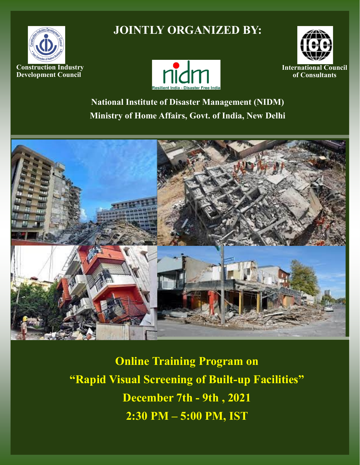

# **JOINTLY ORGANIZED BY:**





**National Institute of Disaster Management (NIDM) Ministry of Home Affairs, Govt. of India, New Delhi**



**Online Training Program on "Rapid Visual Screening of Built-up Facilities" December 7th - 9th , 2021 2:30 PM – 5:00 PM, IST**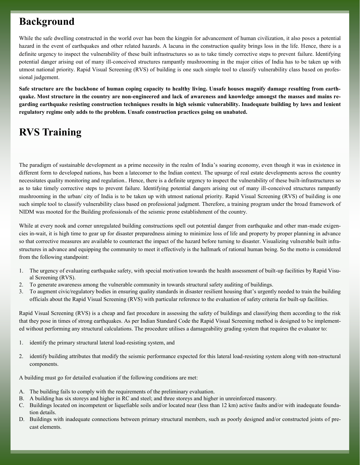## **Background**

While the safe dwelling constructed in the world over has been the kingpin for advancement of human civilization, it also poses a potential hazard in the event of earthquakes and other related hazards. A lacuna in the construction quality brings loss in the life. Hence, there is a definite urgency to inspect the vulnerability of these built infrastructures so as to take timely corrective steps to prevent failure. Identifying potential danger arising out of many ill-conceived structures rampantly mushrooming in the major cities of India has to be taken up with utmost national priority. Rapid Visual Screening (RVS) of building is one such simple tool to classify vulnerability class based on professional judgement.

**Safe structure are the backbone of human coping capacity to healthy living. Unsafe houses magnify damage resulting from earthquake. Most structure in the country are non-engineered and lack of awareness and knowledge amongst the masses and mains regarding earthquake resisting construction techniques results in high seismic vulnerability. Inadequate building by laws and lenient regulatory regime only adds to the problem. Unsafe construction practices going on unabated.**

# **RVS Training**

The paradigm of sustainable development as a prime necessity in the realm of India's soaring economy, even though it was in existence in different form to developed nations, has been a latecomer to the Indian context. The upsurge of real estate developments across the country necessitates quality monitoring and regulation.. Hence, there is a definite urgency to inspect the vulnerability of these built-infrastructures so as to take timely corrective steps to prevent failure. Identifying potential dangers arising out of many ill-conceived structures rampantly mushrooming in the urban/ city of India is to be taken up with utmost national priority. Rapid Visual Screening (RVS) of building is one such simple tool to classify vulnerability class based on professional judgment. Therefore, a training program under the broad framework of NIDM was mooted for the Building professionals of the seismic prone establishment of the country.

While at every nook and corner unregulated building constructions spell out potential danger from earthquake and other man-made exigencies in-wait, it is high time to gear up for disaster preparedness aiming to minimize loss of life and property by proper planning in advance so that corrective measures are available to counteract the impact of the hazard before turning to disaster. Visualizing vulnerable built infrastructures in advance and equipping the community to meet it effectively is the hallmark of rational human being. So the motto is considered from the following standpoint:

- 1. The urgency of evaluating earthquake safety, with special motivation towards the health assessment of built-up facilities by Rapid Visual Screening (RVS).
- 2. To generate awareness among the vulnerable community in towards structural safety auditing of buildings.
- 3. To augment civic/regulatory bodies in ensuring quality standards in disaster resilient housing that's urgently needed to train the building officials about the Rapid Visual Screening (RVS) with particular reference to the evaluation of safety criteria for built-up facilities.

Rapid Visual Screening (RVS) is a cheap and fast procedure in assessing the safety of buildings and classifying them according to the risk that they pose in times of strong earthquakes. As per Indian Standard Code the Rapid Visual Screening method is designed to be implemented without performing any structural calculations. The procedure utilises a damageability grading system that requires the evaluator to:

- 1. identify the primary structural lateral load-resisting system, and
- 2. identify building attributes that modify the seismic performance expected for this lateral load-resisting system along with non-structural components.

A building must go for detailed evaluation if the following conditions are met:

- A. The building fails to comply with the requirements of the preliminary evaluation.
- B. A building has six storeys and higher in RC and steel; and three storeys and higher in unreinforced masonry.
- C. Buildings located on incompetent or liquefiable soils and/or located near (less than 12 km) active faults and/or with inadequate foundation details.
- D. Buildings with inadequate connections between primary structural members, such as poorly designed and/or constructed joints of precast elements.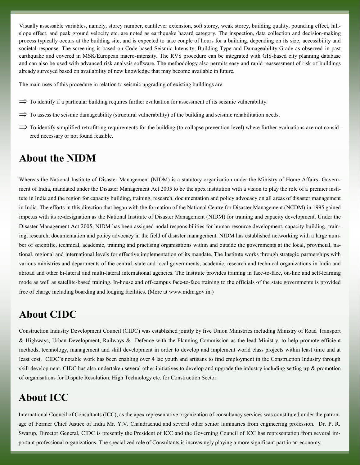Visually assessable variables, namely, storey number, cantilever extension, soft storey, weak storey, building quality, pounding effect, hillslope effect, and peak ground velocity etc. are noted as earthquake hazard category. The inspection, data collection and decision-making process typically occurs at the building site, and is expected to take couple of hours for a building, depending on its size, accessibility and societal response. The screening is based on Code based Seismic Intensity, Building Type and Damageability Grade as observed in past earthquake and covered in MSK/European macro-intensity. The RVS procedure can be integrated with GIS-based city planning database and can also be used with advanced risk analysis software. The methodology also permits easy and rapid reassessment of risk of buildings already surveyed based on availability of new knowledge that may become available in future.

The main uses of this procedure in relation to seismic upgrading of existing buildings are:

- $\Rightarrow$  To identify if a particular building requires further evaluation for assessment of its seismic vulnerability.
- $\Rightarrow$  To assess the seismic damageability (structural vulnerability) of the building and seismic rehabilitation needs.
- $\Rightarrow$  To identify simplified retrofitting requirements for the building (to collapse prevention level) where further evaluations are not considered necessary or not found feasible.

### **About the NIDM**

Whereas the National Institute of Disaster Management (NIDM) is a statutory organization under the Ministry of Home Affairs, Government of India, mandated under the Disaster Management Act 2005 to be the apex institution with a vision to play the role of a premier institute in India and the region for capacity building, training, research, documentation and policy advocacy on all areas of disaster management in India. The efforts in this direction that began with the formation of the National Centre for Disaster Management (NCDM) in 1995 gained impetus with its re-designation as the National Institute of Disaster Management (NIDM) for training and capacity development. Under the Disaster Management Act 2005, NIDM has been assigned nodal responsibilities for human resource development, capacity building, training, research, documentation and policy advocacy in the field of disaster management. NIDM has established networking with a large number of scientific, technical, academic, training and practising organisations within and outside the governments at the local, provincial, national, regional and international levels for effective implementation of its mandate. The Institute works through strategic partnerships with various ministries and departments of the central, state and local governments, academic, research and technical organizations in India and abroad and other bi-lateral and multi-lateral international agencies. The Institute provides training in face-to-face, on-line and self-learning mode as well as satellite-based training. In-house and off-campus face-to-face training to the officials of the state governments is provided free of charge including boarding and lodging facilities. (More at [www.nidm.gov.in](http://www.nidm.gov.in) )

## **About CIDC**

Construction Industry Development Council (CIDC) was established jointly by five Union Ministries including Ministry of Road Transport & Highways, Urban Development, Railways & Defence with the Planning Commission as the lead Ministry, to help promote efficient methods, technology, management and skill development in order to develop and implement world class projects within least time and at least cost. CIDC's notable work has been enabling over 4 lac youth and artisans to find employment in the Construction Industry through skill development. CIDC has also undertaken several other initiatives to develop and upgrade the industry including setting up & promotion of organisations for Dispute Resolution, High Technology etc. for Construction Sector.

## **About ICC**

International Council of Consultants (ICC), as the apex representative organization of consultancy services was constituted under the patronage of Former Chief Justice of India Mr. Y.V. Chandrachud and several other senior luminaries from engineering profession. Dr. P. R. Swarup, Director General, CIDC is presently the President of ICC and the Governing Council of ICC has representation from several important professional organizations. The specialized role of Consultants is increasingly playing a more significant part in an economy.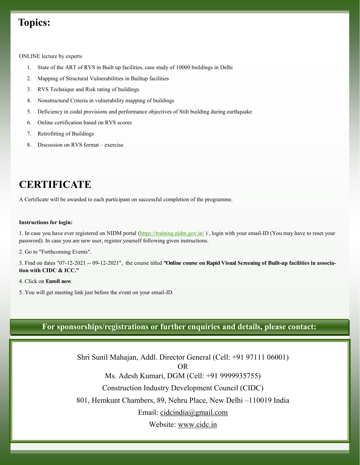## **Topics:**

ONLINE lecture by experts

- 1. State of the ART of RVS in Built up facilities, case study of 10000 buildings in Delhi
- 2. Mapping of Structural Vulnerabilities in Builtup facilities
- 3. RVS Technique and Risk rating of buildings
- 4. Nonstructural Criteria in vulnerability mapping of buildings
- 5. Deficiency in codal provisions and performance objectives of Stilt building during earthquake
- 6. Online certification based on RVS scores
- 7. Retrofitting of Buildings
- 8. Discussion on RVS format exercise

## **CERTIFICATE**

A Certificate will be awarded to each participant on successful completion of the programme.

#### **Instructions for login:**

1. In case you have ever registered on NIDM portal [\(https://training.nidm.gov.in/](https://training.nidm.gov.in/)), login with your email-ID (You may have to reset your password). In case you are new user, register yourself following given instructions.

2. Go to "Forthcoming Events".

3. Find on dates "07-12-2021 -- 09-12-2021", the course titled **"Online course on Rapid Visual Screening of Built-up facilities in association with CIDC & ICC."**

- 4. Click on **Enroll now**.
- 5. You will get meeting link just before the event on your email-ID.

### **For sponsorships/registrations or further enquiries and details, please contact:**

Shri Sunil Mahajan, Addl. Director General (Cell: +91 97111 06001) OR Ms. Adesh Kumari, DGM (Cell: +91 9999935755) Construction Industry Development Council (CIDC) 801, Hemkunt Chambers, 89, Nehru Place, New Delhi –110019 India Email: [cidcindia@gmail.com](mailto:cidcindia@gmail.com) Website: [www.cidc.in](http://www.cidc.in)